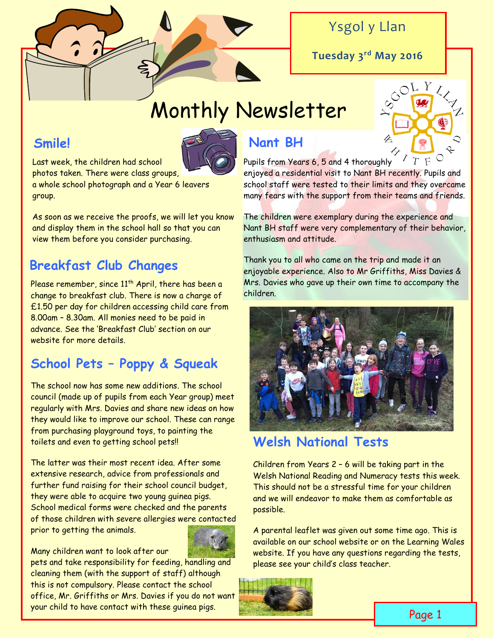

### Ysgol y Llan

**Tuesday 3rd May 2016**

# Monthly Newsletter

### **Smile!**



Last week, the children had school photos taken. There were class groups,

a whole school photograph and a Year 6 leavers group.

As soon as we receive the proofs, we will let you know and display them in the school hall so that you can view them before you consider purchasing.

## **Breakfast Club Changes**

Please remember, since 11<sup>th</sup> April, there has been a change to breakfast club. There is now a charge of £1.50 per day for children accessing child care from 8.00am – 8.30am. All monies need to be paid in advance. See the 'Breakfast Club' section on our website for more details.

### **School Pets – Poppy & Squeak**

The school now has some new additions. The school council (made up of pupils from each Year group) meet regularly with Mrs. Davies and share new ideas on how they would like to improve our school. These can range from purchasing playground toys, to painting the toilets and even to getting school pets!!

The latter was their most recent idea. After some extensive research, advice from professionals and further fund raising for their school council budget, they were able to acquire two young guinea pigs. School medical forms were checked and the parents of those children with severe allergies were contacted prior to getting the animals.



pets and take responsibility for feeding, handling and cleaning them (with the support of staff) although this is not compulsory. Please contact the school office, Mr. Griffiths or Mrs. Davies if you do not want your child to have contact with these guinea pigs.

### **Nant BH**



Pupils from Years 6, 5 and 4 thoroughly enjoyed a residential visit to Nant BH recently. Pupils and school staff were tested to their limits and they overcame many fears with the support from their teams and friends.

The children were exemplary during the experience and Nant BH staff were very complementary of their behavior, enthusiasm and attitude.

Thank you to all who came on the trip and made it an enjoyable experience. Also to Mr Griffiths, Miss Davies & Mrs. Davies who gave up their own time to accompany the children.



### **Welsh National Tests**

Children from Years 2 – 6 will be taking part in the Welsh National Reading and Numeracy tests this week. This should not be a stressful time for your children and we will endeavor to make them as comfortable as possible.

A parental leaflet was given out some time ago. This is available on our school website or on the Learning Wales website. If you have any questions regarding the tests, please see your child's class teacher.

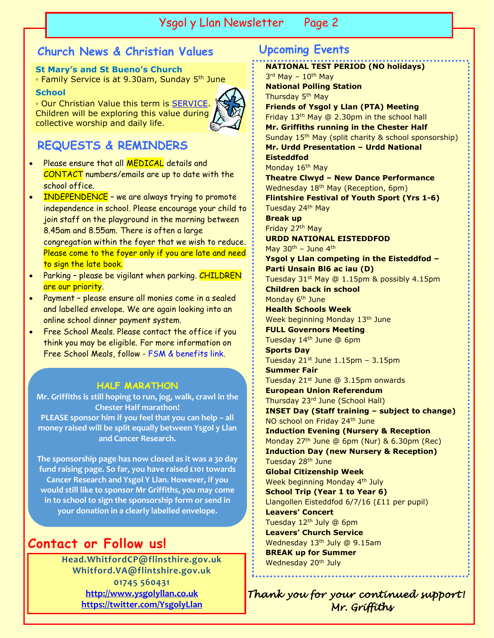### Ysgol y Llan Newsletter Page 2 Ysgol y Llan Newsletter Page 2

### **Church News & Christian Values Upcoming Events**

#### **St Mary's and St Bueno's Church**

∘ Family Service is at 9.30am, Sunday 5<sup>th</sup> June

#### **School**

◦ Our Christian Value this term is [SERVICE.](http://www.ysgolyllan.co.uk/uploads/6/0/9/8/60987703/service.pdf) Children will be exploring this value during collective worship and daily life.



### **REQUESTS & REMINDERS**

- Please ensure that all **MEDICAL** details and CONTACT numbers/emails are up to date with the school office.
- INDEPENDENCE we are always trying to promote independence in school. Please encourage your child to join staff on the playground in the morning between 8.45am and 8.55am. There is often a large congregation within the foyer that we wish to reduce. Please come to the foyer only if you are late and need to sign the late book.
- Parking please be vigilant when parking. CHILDREN are our priority.
- Payment please ensure all monies come in a sealed and labelled envelope. We are again looking into an online school dinner payment system.
- Free School Meals. Please contact the office if you think you may be eligible. For more information on Free School Meals, follow - [FSM & benefits link.](http://www.flintshire.gov.uk/en/Resident/Schools/Education-Benefits.aspx)

### **HALF MARATHON**

**Mr. Griffiths is still hoping to run, jog, walk, crawl in the Chester Half marathon! PLEASE sponsor him if you feel that you can help – all money raised will be split equally between Ysgol y Llan and Cancer Research.**

**The sponsorship page has now closed as it was a 30 day fund raising page. So far, you have raised £101 towards Cancer Research and Ysgol Y Llan. However, if you would still like to sponsor Mr Griffiths, you may come in to school to sign the sponsorship form or send in your donation in a clearly labelled envelope.**

### **Contact or Follow us!**

**Head.WhitfordCP@flinsthire.gov.uk Whitford.VA@flintshire.gov.uk 01745 560431 [http://www.ysgolyllan.co.uk](http://www.ysgolyllan.co.uk/) <https://twitter.com/YsgolyLlan>**

**NATIONAL TEST PERIOD (NO holidays)** 3<sup>rd</sup> May - 10<sup>th</sup> May **National Polling Station** Thursday 5<sup>th</sup> May **Friends of Ysgol y Llan (PTA) Meeting** Friday 13th May @ 2.30pm in the school hall **Mr. Griffiths running in the Chester Half** Sunday 15<sup>th</sup> May (split charity & school sponsorship) **Mr. Urdd Presentation – Urdd National Eisteddfod** Monday 16<sup>th</sup> May **Theatre Clwyd – New Dance Performance** Wednesday 18<sup>th</sup> May (Reception, 6pm) **Flintshire Festival of Youth Sport (Yrs 1-6)** Tuesday 24<sup>th</sup> May **Break up** Friday 27<sup>th</sup> May **URDD NATIONAL EISTEDDFOD** May  $30<sup>th</sup>$  – June  $4<sup>th</sup>$ **Ysgol y Llan competing in the Eisteddfod – Parti Unsain Bl6 ac iau (D)** Tuesday 31st May @ 1.15pm & possibly 4.15pm **Children back in school** Monday 6<sup>th</sup> June **Health Schools Week** Week beginning Monday 13<sup>th</sup> June **FULL Governors Meeting** Tuesday 14<sup>th</sup> June @ 6pm **Sports Day** Tuesday  $21<sup>st</sup>$  June  $1.15$ pm –  $3.15$ pm **Summer Fair** Tuesday 21<sup>st</sup> June @ 3.15pm onwards **European Union Referendum** Thursday 23rd June (School Hall) **INSET Day (Staff training – subject to change)** NO school on Friday 24<sup>th</sup> June **Induction Evening (Nursery & Reception** Monday 27<sup>th</sup> June @ 6pm (Nur) & 6.30pm (Rec) **Induction Day (new Nursery & Reception)** Tuesday 28<sup>th</sup> June **Global Citizenship Week** Week beginning Monday 4<sup>th</sup> July **School Trip (Year 1 to Year 6)** Llangollen Eisteddfod 6/7/16 (£11 per pupil) **Leavers' Concert** Tuesday 12<sup>th</sup> July @ 6pm **Leavers' Church Service** Wednesday 13<sup>th</sup> July @ 9.15am **BREAK up for Summer** Wednesday 20<sup>th</sup> July

*Thank you for your continued support! Mr. Griffiths*